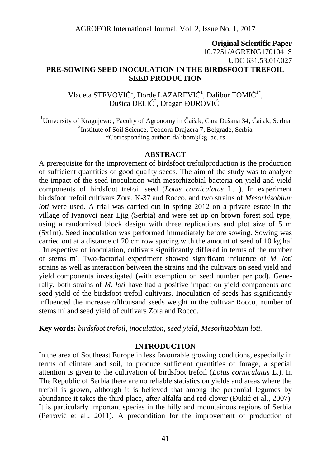# **Original Scientific Paper** 10.7251/AGRENG1701041S UDC 631.53.01/.027 **PRE-SOWING SEED INOCULATION IN THE BIRDSFOOT TREFOIL SEED PRODUCTION**

Vladeta STEVOVI<sup> $-1$ </sup>, or e LAZAREVI<sup> $-1$ </sup>, Dalibor TOMI<sup> $-1$ \*</sup>, , Dušica DELI $^2$ , Dragan UROVI<sup>1</sup>

<sup>1</sup>University of Kragujevac, Faculty of Agronomy in  $\alpha$  ak, Cara Dušana 34,  $\alpha$  ak, Serbia 2 Institute of Soil Science, Teodora Drajzera 7, Belgrade, Serbia \*Corresponding author: dalibort@kg. ac. rs

#### **ABSTRACT**

A prerequisite for the improvement of birdsfoot trefoilproduction is the production of sufficient quantities of good quality seeds. The aim of the study was to analyze the impact of the seed inoculation with mesorhizobial bacteria on yield and yield components of birdsfoot trefoil seed (*Lotus corniculatus* L. ). In experiment birdsfoot trefoil cultivars Zora, K-37 and Rocco, and two strains of *Mesorhizobium loti* were used. A trial was carried out in spring 2012 on a private estate in the village of Ivanovci near Ljig (Serbia) and were set up on brown forest soil type, using a randomized block design with three replications and plot size of 5 m (5x1m). Seed inoculation was performed immediately before sowing. Sowing was carried out at a distance of 20 cm row spacing with the amount of seed of 10 kg ha<sup>-</sup> . Irrespective of inoculation, cultivars significantly differed in terms of the number of stems m-. Two-factorial experiment showed significant influence of *M. loti* strains as well as interaction between the strains and the cultivars on seed yield and yield components investigated (with exemption on seed number per pod). Generally, both strains of *M. loti* have had a positive impact on yield components and seed yield of the birdsfoot trefoil cultivars. Inoculation of seeds has significantly influenced the increase ofthousand seeds weight in the cultivar Rocco, number of stems m- and seed yield of cultivars Zora and Rocco.

**Key words:** *birdsfoot trefoil, inoculation, seed yield, Mesorhizobium loti.*

### **INTRODUCTION**

In the area of Southeast Europe in less favourable growing conditions, especially in terms of climate and soil, to produce sufficient quantities of forage, a special attention is given to the cultivation of birdsfoot trefoil (*Lotus corniculatus* L.). In The Republic of Serbia there are no reliable statistics on yields and areas where the trefoil is grown, although it is believed that among the perennial legumes by abundance it takes the third place, after alfalfa and red clover  $(\mu k i \text{ et al., } 2007)$ . It is particularly important species in the hilly and mountainous regions of Serbia (Petrovi et al., 2011). A precondition for the improvement of production of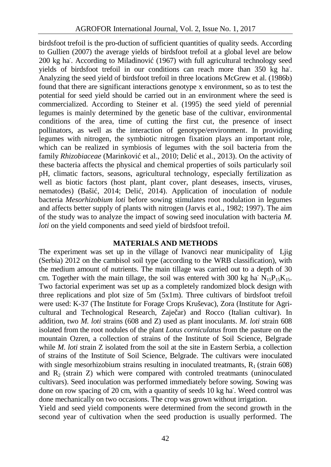birdsfoot trefoil is the pro-duction of sufficient quantities of quality seeds. According to Gullien (2007) the average yields of birdsfoot trefoil at a global level are below 200 kg ha<sup>-</sup>. According to Miladinovi (1967) with full agricultural technology seed yields of birdsfoot trefoil in our conditions can reach more than 350 kg ha-. Analyzing the seed yield of birdsfoot trefoil in three locations McGrew et al. (1986b) found that there are significant interactions genotype x environment, so as to test the potential for seed yield should be carried out in an environment where the seed is commercialized. According to Steiner et al. (1995) the seed yield of perennial legumes is mainly determined by the genetic base of the cultivar, environmental conditions of the area, time of cutting the first cut, the presence of insect pollinators, as well as the interaction of genotype/environment. In providing legumes with nitrogen, the symbiotic nitrogen fixation plays an important role, which can be realized in symbiosis of legumes with the soil bacteria from the family *Rhizobiaceae* (Marinkovi et al., 2010; Deli et al., 2013). On the activity of these bacteria affects the physical and chemical properties of soils particularly soil pH, climatic factors, seasons, agricultural technology, especially fertilization as well as biotic factors (host plant, plant cover, plant deseases, insects, viruses, nematodes) (Baši, 2014; Deli, 2014). Application of inoculation of nodule bacteria *Mesorhizobium loti* before sowing stimulates root nodulation in legumes and affects better supply of plants with nitrogen (Jarvis et al., 1982; 1997). The aim of the study was to analyze the impact of sowing seed inoculation with bacteria *M. loti* on the yield components and seed yield of birdsfoot trefoil.

### **MATERIALS AND METHODS**

The experiment was set up in the village of Ivanovci near municipality of Ljig (Serbia) 2012 on the cambisol soil type (according to the WRB classification), with the medium amount of nutrients. The main tillage was carried out to a depth of 30 cm. Together with the main tillage, the soil was entered with 300 kg ha $N_{15}P_{15}K_{15}$ . Two factorial experiment was set up as a completely randomized block design with three replications and plot size of 5m (5x1m). Three cultivars of birdsfoot trefoil were used: K-37 (The Institute for Forage Crops Kruševac), Zora (Institute for Agri cultural and Technological Research, Zaje ar) and Rocco (Italian cultivar). In addition, two *M. loti* strains (608 and Z) used as plant inoculants. *M. loti* strain 608 isolated from the root nodules of the plant *Lotus corniculatus* from the pasture on the mountain Ozren, a collection of strains of the Institute of Soil Science, Belgrade while *M. loti* strain Z isolated from the soil at the site in Eastern Serbia, a collection of strains of the Institute of Soil Science, Belgrade. The cultivars were inoculated with single mesorhizobium strains resulting in inoculated treatmants,  $R_1$  (strain 608) and  $R<sub>2</sub>$  (strain Z) which were compared with controled treatmants (uninoculated cultivars). Seed inoculation was performed immediately before sowing. Sowing was done on row spacing of 20 cm, with a quantity of seeds 10 kg ha. Weed control was done mechanically on two occasions. The crop was grown without irrigation.

Yield and seed yield components were determined from the second growth in the second year of cultivation when the seed production is usually performed. The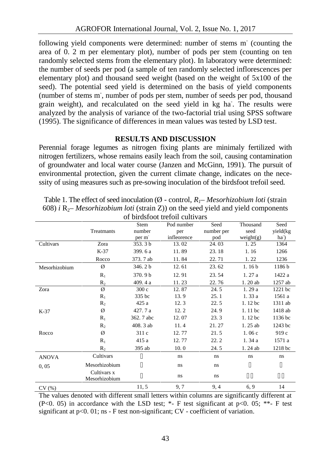following yield components were determined: number of stems m<sup>-</sup> (counting the area of 0. 2 m per elementary plot), number of pods per stem (counting on ten randomly selected stems from the elementary plot). In laboratory were determined: the number of seeds per pod (a sample of ten randomly selected inflorescences per elementary plot) and thousand seed weight (based on the weight of 5x100 of the seed). The potential seed yield is determined on the basis of yield components (number of stems m-, number of pods per stem, number of seeds per pod, thousand grain weight), and recalculated on the seed yield in kg ha. The results were analyzed by the analysis of variance of the two-factorial trial using SPSS software (1995). The significance of differences in mean values was tested by LSD test.

## **RESULTS AND DISCUSSION**

Perennial forage legumes as nitrogen fixing plants are minimaly fertilized with nitrogen fertilizers, whose remains easily leach from the soil, causing contamination of groundwater and local water course (Janzen and McGinn, 1991). The pursuit of environmental protection, given the current climate change, indicates on the nece ssity of using measures such as pre-sowing inoculation of the birdsfoot trefoil seed.

|               | of on distoot trefton cultivalis<br>Stem<br>Seed<br>Seed<br>Pod number<br>Thousand |                    |             |            |                   |                 |
|---------------|------------------------------------------------------------------------------------|--------------------|-------------|------------|-------------------|-----------------|
|               | Treatmants                                                                         | number             | per         | number per | seed              | yield(kg        |
|               |                                                                                    | per m              | infleorence | pod        | weight(g)         | ha <sup>-</sup> |
| Cultivars     | Zora                                                                               | 353.3 <sub>b</sub> | 13.02       | 24.03      | 1.25              | 1364            |
|               | $K-37$                                                                             | 399.6 a            | 11.89       | 23.18      | 1.16              | 1266            |
|               | Rocco                                                                              | 373.7 ab           | 11.84       | 22.71      | 1.22              | 1236            |
| Mesorhizobium | Ø                                                                                  | 346.2 b            | 12.61       | 23.62      | 1.16 <sub>b</sub> | 1186b           |
|               | $R_1$                                                                              | 370.9b             | 12.91       | 23.54      | 1.27 a            | 1422 a          |
|               | R <sub>2</sub>                                                                     | 409.4 a            | 11.23       | 22.76      | 1.20 ab           | 1257 ab         |
| Zora          | Ø                                                                                  | 300c               | 12.87       | 24.5       | 1.29a             | 1221 bc         |
|               | $R_1$                                                                              | 335 bc             | 13.9        | 25.1       | 1.33a             | 1561 a          |
|               | R <sub>2</sub>                                                                     | 425 a              | 12.3        | 22.5       | 1.12 bc           | 1311 ab         |
| K-37          | Ø                                                                                  | 427.7 a            | 12.2        | 24.9       | 1.11 bc           | 1418 ab         |
|               | $R_1$                                                                              | 362.7 abc          | 12.07       | 23.3       | 1.12 bc           | 1136 bc         |
|               | R <sub>2</sub>                                                                     | 408.3 ab           | 11.4        | 21.27      | 1.25 ab           | 1243 bc         |
| Rocco         | Ø                                                                                  | 311c               | 12.77       | 21.5       | 1.06c             | 919c            |
|               | $R_1$                                                                              | 415 a              | 12.77       | 22.2       | 1.34a             | 1571 a          |
|               | R <sub>2</sub>                                                                     | 395 ab             | 10.0        | 24.5       | 1.24 ab           | 1218 bc         |
| <b>ANOVA</b>  | Cultivars                                                                          |                    | ns          | ns         | ns                | ns              |
| 0,05          | Mesorhizobium                                                                      |                    | ns          | ns         |                   |                 |
|               | Cultivars x<br>Mesorhizobium                                                       |                    | ns.         | ns         |                   |                 |
| CV(%)         |                                                                                    | 11,5               | 9,7         | 9,4        | 6, 9              | 14              |

Table 1. The effect of seed inoculation ( $\emptyset$  - control,  $R<sub>l</sub>$ – *Mesorhizobium loti* (strain 608) *i*  $R_2$ – *Mesorhizobium loti* (strain Z)) on the seed yield and yield components of birdsfoot trefoil cultivars

The values denoted with different small letters within columns are significantly different at (P<0. 05) in accordance with the LSD test;  $*$ - F test significant at p<0. 05;  $**$ - F test significant at p<0. 01; ns - F test non-significant; CV - coefficient of variation.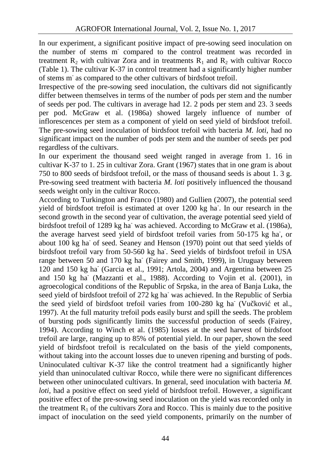In our experiment, a significant positive impact of pre-sowing seed inoculation on the number of stems m- compared to the control treatment was recorded in treatment  $R_2$  with cultivar Zora and in treatments  $R_1$  and  $R_2$  with cultivar Rocco (Table 1). The cultivar K-37 in control treatment had a significantly higher number of stems m- as compared to the other cultivars of birdsfoot trefoil.

Irrespective of the pre-sowing seed inoculation, the cultivars did not significantly differ between themselves in terms of the number of pods per stem and the number of seeds per pod. The cultivars in average had 12. 2 pods per stem and 23. 3 seeds per pod. McGraw et al. (1986a) showed largely influence of number of inflorescences per stem as a component of yield on seed yield of birdsfoot trefoil. The pre-sowing seed inoculation of birdsfoot trefoil with bacteria *M. loti*, had no significant impact on the number of pods per stem and the number of seeds per pod regardless of the cultivars.

In our experiment the thousand seed weight ranged in average from 1. 16 in cultivar K-37 to 1. 25 in cultivar Zora. Grant (1967) states that in one gram is about 750 to 800 seeds of birdsfoot trefoil, or the mass of thousand seeds is about 1. 3 g. Pre-sowing seed treatment with bacteria *M.loti* positively influenced the thousand seeds weight only in the cultivar Rocco.

According to Turkington and Franco (1980) and Gullien (2007), the potential seed yield of birdsfoot trefoil is estimated at over 1200 kg ha<sup>-</sup>. In our research in the second growth in the second year of cultivation, the average potential seed yield of birdsfoot trefoil of 1289 kg ha- was achieved. According to McGraw et al. (1986a), the average harvest seed yield of birdsfoot trefoil varies from 50-175 kg ha-, or about 100 kg ha<sup>-</sup> of seed. Seaney and Henson (1970) point out that seed yields of birdsfoot trefoil vary from 50-560 kg ha-. Seed yields of birdsfoot trefoil in USA range between 50 and 170 kg ha<sup>-</sup> (Fairey and Smith, 1999), in Uruguay between 120 and 150 kg ha- (Garcia et al., 1991; Artola, 2004) and Argentina between 25 and 150 kg ha- (Mazzanti et al., 1988). According to Vojin et al. (2001), in agroecological conditions of the Republic of Srpska, in the area of Banja Luka, the seed yield of birdsfoot trefoil of 272 kg ha<sup>-</sup> was achieved. In the Republic of Serbia the seed yield of birdsfoot trefoil varies from 100-280 kg ha<sup>-</sup> (Vu kovi et al., 1997). At the full maturity trefoil pods easily burst and spill the seeds. The problem of bursting pods significantly limits the successful production of seeds (Fairey, 1994). According to Winch et al. (1985) losses at the seed harvest of birdsfoot trefoil are large, ranging up to 85% of potential yield. In our paper, shown the seed yield of birdsfoot trefoil is recalculated on the basis of the yield components, without taking into the account losses due to uneven ripening and bursting of pods. Uninoculated cultivar K-37 like the control treatment had a significantly higher yield than uninoculated cultivar Rocco, while there were no significant differences between other uninoculated cultivars. In general, seed inoculation with bacteria *M*. *loti*, had a positive effect on seed yield of birdsfoot trefoil. However, a significant positive effect of the pre-sowing seed inoculation on the yield was recorded only in the treatment  $R_1$  of the cultivars Zora and Rocco. This is mainly due to the positive impact of inoculation on the seed yield components, primarily on the number of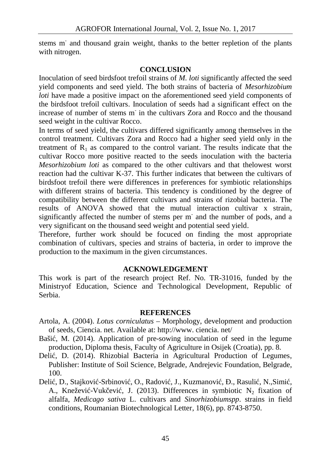stems m<sup>-</sup> and thousand grain weight, thanks to the better repletion of the plants with nitrogen.

### **CONCLUSION**

Inoculation of seed birdsfoot trefoil strains of *M. loti* significantly affected the seed yield components and seed yield. The both strains of bacteria of *Mesorhizobium loti* have made a positive impact on the aforementioned seed yield components of the birdsfoot trefoil cultivars. Inoculation of seeds had a significant effect on the increase of number of stems m- in the cultivars Zora and Rocco and the thousand seed weight in the cultivar Rocco.

In terms of seed yield, the cultivars differed significantly among themselves in the control treatment. Cultivars Zora and Rocco had a higher seed yield only in the treatment of  $R_1$  as compared to the control variant. The results indicate that the cultivar Rocco more positive reacted to the seeds inoculation with the bacteria *Mesorhizobium loti* as compared to the other cultivars and that thelowest worst reaction had the cultivar K-37. This further indicates that between the cultivars of birdsfoot trefoil there were differences in preferences for symbiotic relationships with different strains of bacteria. This tendency is conditioned by the degree of compatibility between the different cultivars and strains of rizobial bacteria. The results of ANOVA showed that the mutual interaction cultivar x strain, significantly affected the number of stems per m- and the number of pods, and a very significant on the thousand seed weight and potential seed yield.

Therefore, further work should be focuced on finding the most appropriate combination of cultivars, species and strains of bacteria, in order to improve the production to the maximum in the given circumstances.

### **ACKNOWLEDGEMENT**

This work is part of the research project Ref. No. TR-31016, funded by the Ministryof Education, Science and Technological Development, Republic of Serbia.

### **REFERENCES**

- Artola, A. (2004). *Lotus corniculatus* Morphology, development and production of seeds, Ciencia. net. Available at: http://www. ciencia. net/
- Baši, M. (2014). Application of pre-sowing inoculation of seed in the legume production, Diploma thesis, Faculty of Agriculture in Osijek (Croatia), pp. 8.
- Deli, D. (2014). Rhizobial Bacteria in Agricultural Production of Legumes, Publisher: Institute of Soil Science, Belgrade, Andrejevic Foundation, Belgrade, 100.
- Deli, D., Stajkovi -Srbinovi, O., Radovi, J., Kuzmanovi, ., Rasuli, N.,Simi, A., Kneževi -Vuk evi, J. (2013). Differences in symbiotic N<sub>2</sub> fixation of alfalfa, *Medicago sativa* L. cultivars and *Sinorhizobiumspp*. strains in field conditions, Roumanian Biotechnological Letter, 18(6), pp. 8743-8750.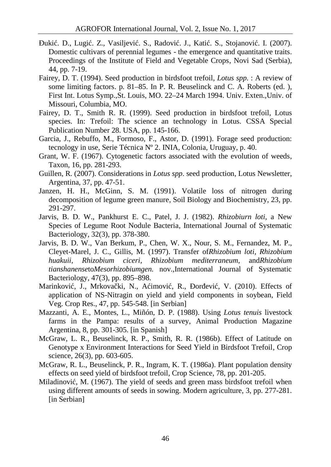- uki . D., Lugi . Z., Vasiljević. S., Radović. J., Katić. S., Stojanović. I. (2007). Domestic cultivars of perennial legumes - the emergence and quantitative traits. Proceedings of the Institute of Field and Vegetable Crops, Novi Sad (Serbia), 44, pp. 7-19.
- Fairey, D. T. (1994). Seed production in birdsfoot trefoil, *Lotus spp*. : A review of some limiting factors. p. 81–85. In P. R. Beuselinck and C. A. Roberts (ed. ), First Int. Lotus Symp.,St. Louis, MO. 22–24 March 1994. Univ. Exten.,Univ. of Missouri, Columbia, MO.
- Fairey, D. T., Smith R. R. (1999). Seed production in birdsfoot trefoil, Lotus species. In: Trefoil: The science an technology in Lotus. CSSA Special Publication Number 28. USA, pp. 145-166.
- Garcia, J., Rebuffo, M., Formoso, F., Astor, D. (1991). Forage seed production: tecnology in use, Serie Técnica Nº 2. INIA, Colonia, Uruguay, p. 40.
- Grant, W. F. (1967). Cytogenetic factors associated with the evolution of weeds, Taxon, 16, pp. 281-293.
- Guillen, R. (2007). Considerations in *Lotus spp*. seed production, Lotus Newsletter, Argentina, 37, pp. 47-51.
- Janzen, H. H., McGinn, S. M. (1991). Volatile loss of nitrogen during decomposition of legume green manure, Soil Biology and Biochemistry, 23, pp. 291-297.
- Jarvis, B. D. W., Pankhurst E. C., Patel, J. J. (1982). *Rhizobiurn loti*, a New Species of Legume Root Nodule Bacteria, International Journal of Systematic Bacteriology, 32(3), pp. 378-380.
- Jarvis, B. D. W., Van Berkum, P., Chen, W. X., Nour, S. M., Fernandez, M. P., Cleyet-Marel, J. C., Gillis, M. (1997). Transfer of*Rhizobium loti, Rhizobium huakuii, Rhizobium ciceri, Rhizobium mediterraneum*, and*Rhizobium tianshanense*to*Mesorhizobiumgen.* nov.,International Journal of Systematic Bacteriology, 47(3), pp. 895–898.
- Marinkovi, J., Mrkova ki, N., A imovi, R., or evi, V. (2010). Effects of application of NS-Nitragin on yield and yield components in soybean, Field Veg. Crop Res., 47, pp. 545-548. [in Serbian]
- Mazzanti, A. E., Montes, L., Miñón, D. P. (1988). Using *Lotus tenuis* livestock farms in the Pampa: results of a survey, Animal Production Magazine Argentina, 8, pp. 301-305. [in Spanish]
- McGraw, L. R., Beuselinck, R. P., Smith, R. R. (1986b). Effect of Latitude on Genotype x Environment Interactions for Seed Yield in Birdsfoot Trefoil, Crop science, 26(3), pp. 603-605.
- McGraw, R. L., Beuselinck, P. R., Ingram, K. T. (1986a). Plant population density effects on seed yield of birdsfoot trefoil, Crop Science, 78, pp. 201-205.
- Miladinovi, M. (1967). The yield of seeds and green mass birdsfoot trefoil when using different amounts of seeds in sowing. Modern agriculture, 3, pp. 277-281. [in Serbian]